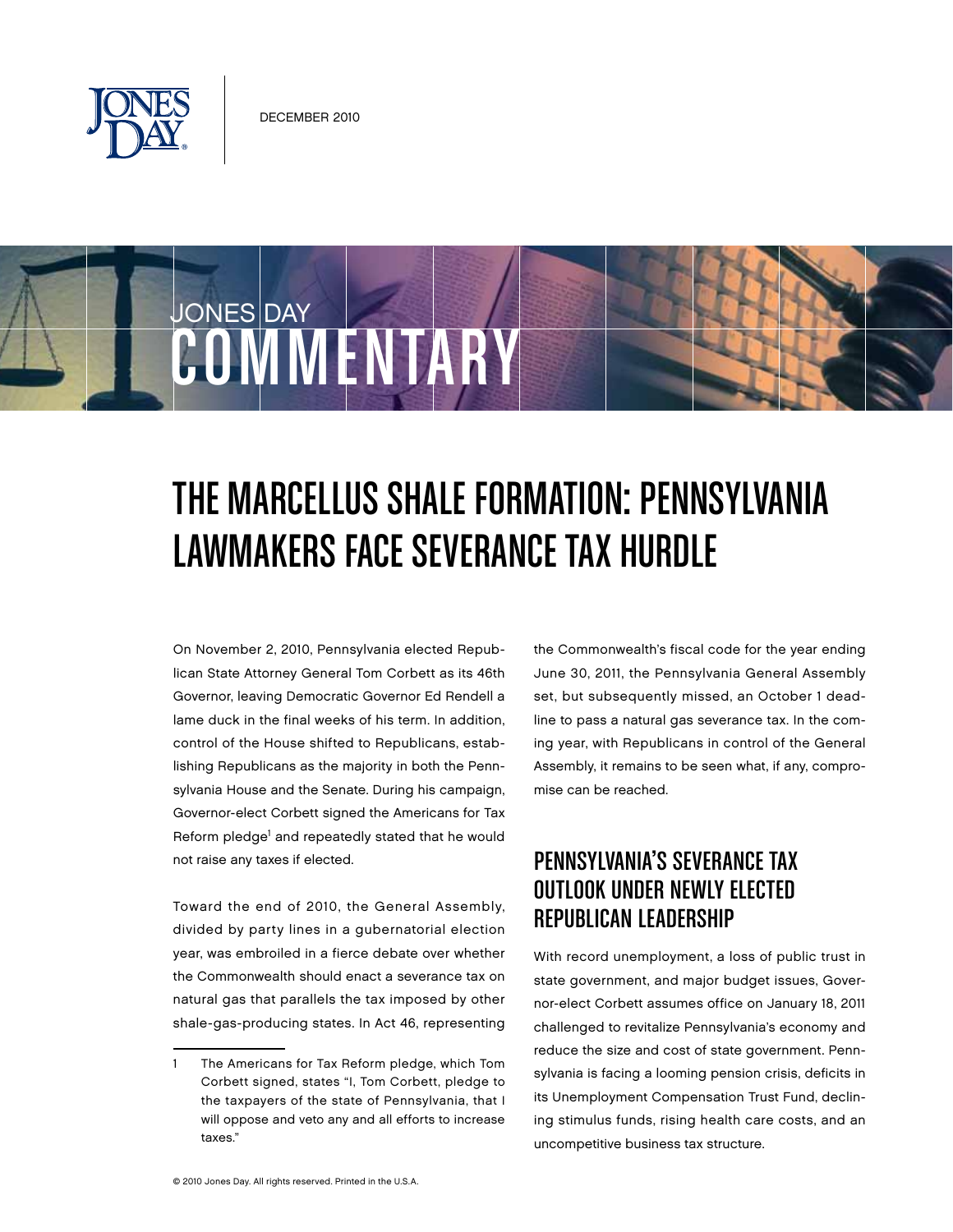

COMMENTARY

JONES DAY

## The Marcellus Shale Formation: Pennsylvania Lawmakers Face Severance Tax Hurdle

On November 2, 2010, Pennsylvania elected Republican State Attorney General Tom Corbett as its 46th Governor, leaving Democratic Governor Ed Rendell a lame duck in the final weeks of his term. In addition, control of the House shifted to Republicans, establishing Republicans as the majority in both the Pennsylvania House and the Senate. During his campaign, Governor-elect Corbett signed the Americans for Tax Reform pledge<sup>1</sup> and repeatedly stated that he would not raise any taxes if elected.

Toward the end of 2010, the General Assembly, divided by party lines in a gubernatorial election year, was embroiled in a fierce debate over whether the Commonwealth should enact a severance tax on natural gas that parallels the tax imposed by other shale-gas-producing states. In Act 46, representing the Commonwealth's fiscal code for the year ending June 30, 2011, the Pennsylvania General Assembly set, but subsequently missed, an October 1 deadline to pass a natural gas severance tax. In the coming year, with Republicans in control of the General Assembly, it remains to be seen what, if any, compromise can be reached.

## Pennsylvania's Severance Tax Outlook Under Newly Elected REPUBLICAN LEADERSHIP

With record unemployment, a loss of public trust in state government, and major budget issues, Governor-elect Corbett assumes office on January 18, 2011 challenged to revitalize Pennsylvania's economy and reduce the size and cost of state government. Pennsylvania is facing a looming pension crisis, deficits in its Unemployment Compensation Trust Fund, declining stimulus funds, rising health care costs, and an uncompetitive business tax structure.

<sup>1</sup> The Americans for Tax Reform pledge, which Tom Corbett signed, states "I, Tom Corbett, pledge to the taxpayers of the state of Pennsylvania, that I will oppose and veto any and all efforts to increase taxes."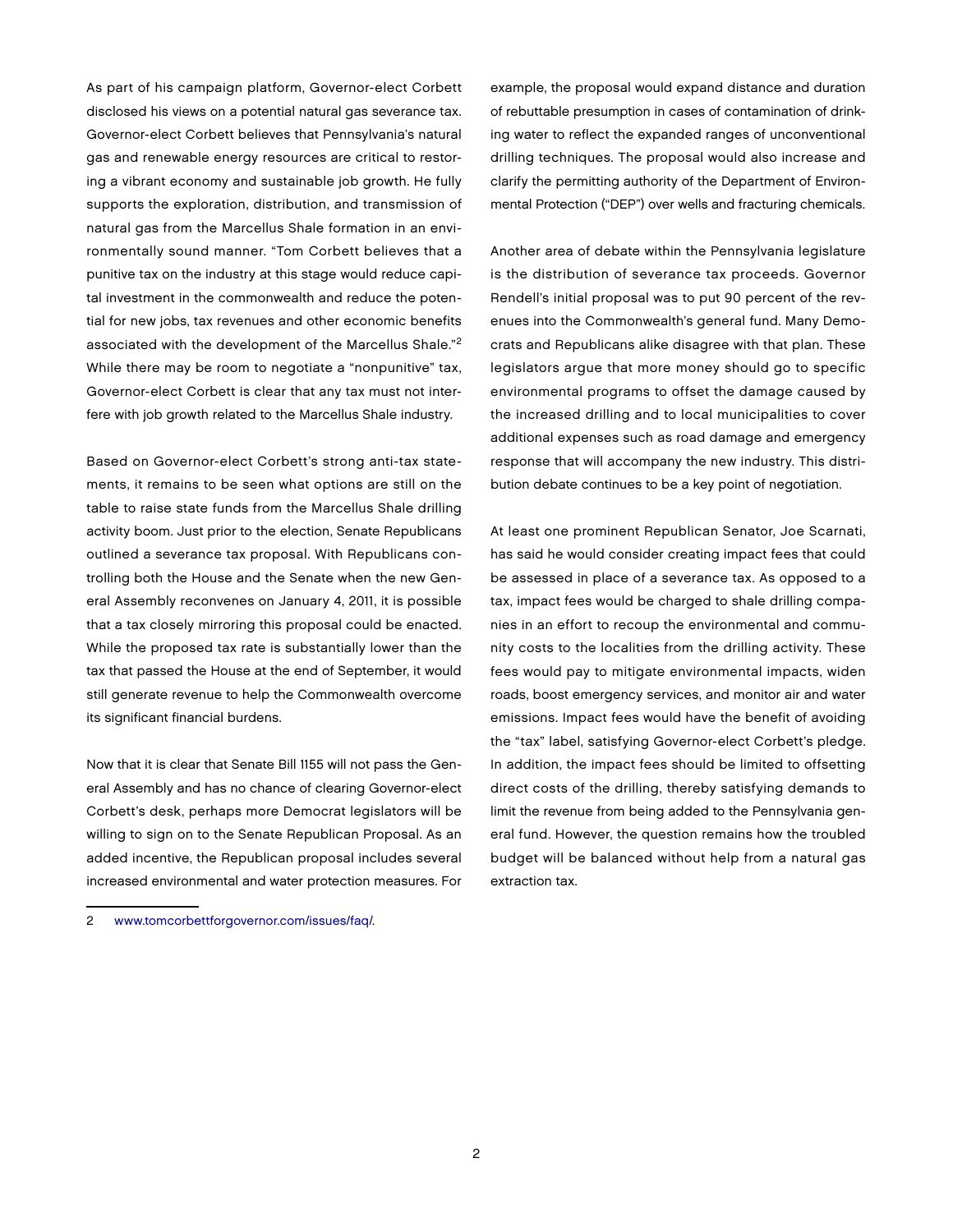As part of his campaign platform, Governor-elect Corbett disclosed his views on a potential natural gas severance tax. Governor-elect Corbett believes that Pennsylvania's natural gas and renewable energy resources are critical to restoring a vibrant economy and sustainable job growth. He fully supports the exploration, distribution, and transmission of natural gas from the Marcellus Shale formation in an environmentally sound manner. "Tom Corbett believes that a punitive tax on the industry at this stage would reduce capital investment in the commonwealth and reduce the potential for new jobs, tax revenues and other economic benefits associated with the development of the Marcellus Shale."2 While there may be room to negotiate a "nonpunitive" tax, Governor-elect Corbett is clear that any tax must not interfere with job growth related to the Marcellus Shale industry.

Based on Governor-elect Corbett's strong anti-tax statements, it remains to be seen what options are still on the table to raise state funds from the Marcellus Shale drilling activity boom. Just prior to the election, Senate Republicans outlined a severance tax proposal. With Republicans controlling both the House and the Senate when the new General Assembly reconvenes on January 4, 2011, it is possible that a tax closely mirroring this proposal could be enacted. While the proposed tax rate is substantially lower than the tax that passed the House at the end of September, it would still generate revenue to help the Commonwealth overcome its significant financial burdens.

Now that it is clear that Senate Bill 1155 will not pass the General Assembly and has no chance of clearing Governor-elect Corbett's desk, perhaps more Democrat legislators will be willing to sign on to the Senate Republican Proposal. As an added incentive, the Republican proposal includes several increased environmental and water protection measures. For example, the proposal would expand distance and duration of rebuttable presumption in cases of contamination of drinking water to reflect the expanded ranges of unconventional drilling techniques. The proposal would also increase and clarify the permitting authority of the Department of Environmental Protection ("DEP") over wells and fracturing chemicals.

Another area of debate within the Pennsylvania legislature is the distribution of severance tax proceeds. Governor Rendell's initial proposal was to put 90 percent of the revenues into the Commonwealth's general fund. Many Democrats and Republicans alike disagree with that plan. These legislators argue that more money should go to specific environmental programs to offset the damage caused by the increased drilling and to local municipalities to cover additional expenses such as road damage and emergency response that will accompany the new industry. This distribution debate continues to be a key point of negotiation.

At least one prominent Republican Senator, Joe Scarnati, has said he would consider creating impact fees that could be assessed in place of a severance tax. As opposed to a tax, impact fees would be charged to shale drilling companies in an effort to recoup the environmental and community costs to the localities from the drilling activity. These fees would pay to mitigate environmental impacts, widen roads, boost emergency services, and monitor air and water emissions. Impact fees would have the benefit of avoiding the "tax" label, satisfying Governor-elect Corbett's pledge. In addition, the impact fees should be limited to offsetting direct costs of the drilling, thereby satisfying demands to limit the revenue from being added to the Pennsylvania general fund. However, the question remains how the troubled budget will be balanced without help from a natural gas extraction tax.

<sup>2</sup> [www.tomcorbettforgovernor.com/issues/faq/.](http://www.tomcorbettforgovernor.com/issues/faq/)